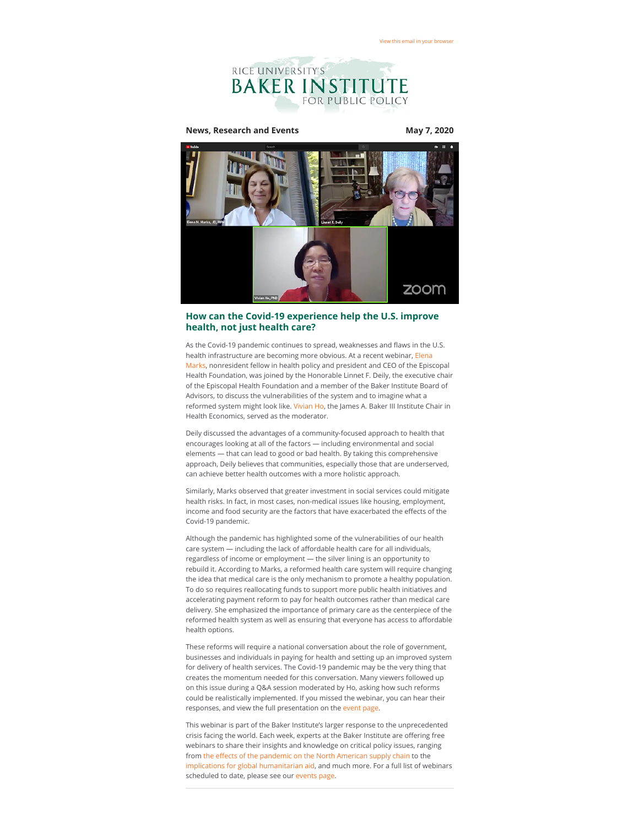

**News, Research and Events May 7, 2020** 



## **How can the Covid-19 experience help the U.S. improve health, not just health care?**

As the Covid-19 pandemic continues to spread, weaknesses and flaws in the U.S. health infrastructure are becoming more obvious. At a recent webinar, Elena [Marks, nonresident fellow in health policy and president and CEO of the Episc](https://riceconnect.rice.edu/page.redir?target=https%3a%2f%2fwww.bakerinstitute.org%2fexperts%2felena-m-marks%2f&srcid=133221&srctid=1&erid=b2f5f9ce-caee-488b-ab20-92885f16d0a0&trid=b2f5f9ce-caee-488b-ab20-92885f16d0a0)opal Health Foundation, was joined by the Honorable Linnet F. Deily, the executive chair of the Episcopal Health Foundation and a member of the Baker Institute Board of Advisors, to discuss the vulnerabilities of the system and to imagine what a reformed system might look like. [Vivian Ho](https://riceconnect.rice.edu/page.redir?target=https%3a%2f%2fwww.bakerinstitute.org%2fexperts%2fvivian-ho%2f&srcid=133221&srctid=1&erid=b2f5f9ce-caee-488b-ab20-92885f16d0a0&trid=b2f5f9ce-caee-488b-ab20-92885f16d0a0), the James A. Baker III Institute Chair in Health Economics, served as the moderator.

Deily discussed the advantages of a community-focused approach to health that encourages looking at all of the factors — including environmental and social elements — that can lead to good or bad health. By taking this comprehensive approach, Deily believes that communities, especially those that are underserved, can achieve better health outcomes with a more holistic approach.

Similarly, Marks observed that greater investment in social services could mitigate health risks. In fact, in most cases, non-medical issues like housing, employment, income and food security are the factors that have exacerbated the effects of the Covid-19 pandemic.

Although the pandemic has highlighted some of the vulnerabilities of our health care system — including the lack of affordable health care for all individuals, regardless of income or employment — the silver lining is an opportunity to rebuild it. According to Marks, a reformed health care system will require changing the idea that medical care is the only mechanism to promote a healthy population. To do so requires reallocating funds to support more public health initiatives and accelerating payment reform to pay for health outcomes rather than medical care delivery. She emphasized the importance of primary care as the centerpiece of the reformed health system as well as ensuring that everyone has access to affordable health options.

These reforms will require a national conversation about the role of government, businesses and individuals in paying for health and setting up an improved system for delivery of health services. The Covid-19 pandemic may be the very thing that creates the momentum needed for this conversation. Many viewers followed up on this issue during a Q&A session moderated by Ho, asking how such reforms could be realistically implemented. If you missed the webinar, you can hear their responses, and view the full presentation on the [event page.](https://riceconnect.rice.edu/page.redir?target=https%3a%2f%2fwww.bakerinstitute.org%2fevents%2f2079%2f&srcid=133221&srctid=1&erid=b2f5f9ce-caee-488b-ab20-92885f16d0a0&trid=b2f5f9ce-caee-488b-ab20-92885f16d0a0)

This webinar is part of the Baker Institute's larger response to the unprecedented crisis facing the world. Each week, experts at the Baker Institute are offering free webinars to share their insights and knowledge on critical policy issues, ranging from the effects of the pandemic on the North American supply chain to the [implications for global humanitarian aid,](https://riceconnect.rice.edu/page.redir?target=https%3a%2f%2fwww.bakerinstitute.org%2fevents%2f2086%2f&srcid=133221&srctid=1&erid=b2f5f9ce-caee-488b-ab20-92885f16d0a0&trid=b2f5f9ce-caee-488b-ab20-92885f16d0a0) and much more. For a full list of webinars scheduled to date, please see our [events page.](https://riceconnect.rice.edu/page.redir?target=https%3a%2f%2fwww.bakerinstitute.org%2fevents%2fsearch%2f&srcid=133221&srctid=1&erid=b2f5f9ce-caee-488b-ab20-92885f16d0a0&trid=b2f5f9ce-caee-488b-ab20-92885f16d0a0)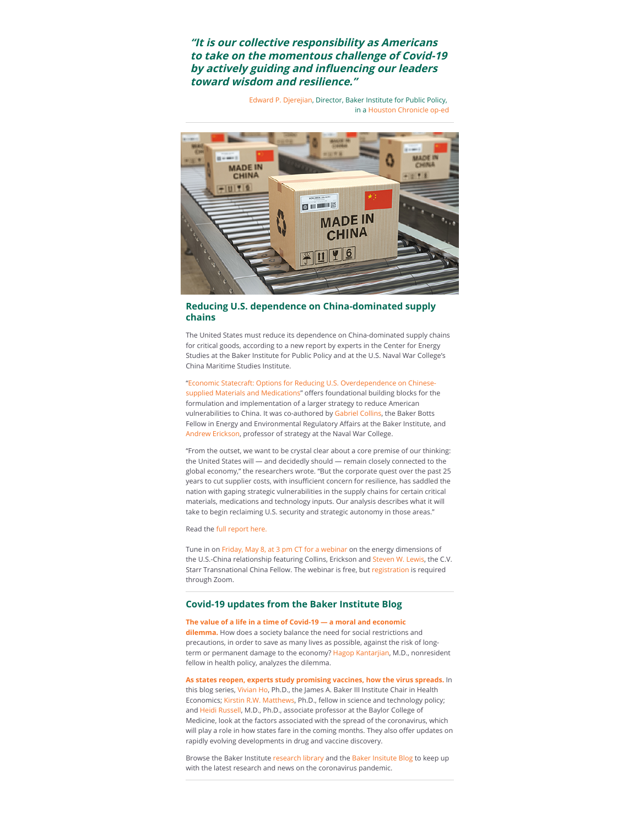**"It is our collective responsibility as Americans to take on the momentous challenge of Covid-19** by actively guiding and influencing our leaders **toward wisdom and resilience."**

> [Edward P. Djerejian](https://riceconnect.rice.edu/page.redir?target=https%3a%2f%2fwww.bakerinstitute.org%2fexperts%2fedward-p-djerejian%2f&srcid=133221&srctid=1&erid=b2f5f9ce-caee-488b-ab20-92885f16d0a0&trid=b2f5f9ce-caee-488b-ab20-92885f16d0a0), Director, Baker Institute for Public Policy, in a [Houston Chronicle op-ed](https://riceconnect.rice.edu/page.redir?target=https%3a%2f%2fwww.bakerinstitute.org%2fmedia%2ffiles%2ffiles%2f4fd56575%2fdjerejian-op-ed-pdf-05-03-2020.pdf&srcid=133221&srctid=1&erid=b2f5f9ce-caee-488b-ab20-92885f16d0a0&trid=b2f5f9ce-caee-488b-ab20-92885f16d0a0)



## **Reducing U.S. dependence on China-dominated supply chains**

The United States must reduce its dependence on China-dominated supply chains for critical goods, according to a new report by experts in the Center for Energy Studies at the Baker Institute for Public Policy and at the U.S. Naval War College's China Maritime Studies Institute.

"Economic Statecraft: Options for Reducing U.S. Overdependence on Chinesesupplied Materials and Medications" offers foundational building blocks for the formulation and implementation of a larger strategy to reduce American vulnerabilities to China. It was co-authored by [Gabriel Collins](https://riceconnect.rice.edu/page.redir?target=https%3a%2f%2fwww.bakerinstitute.org%2fexperts%2fgabe-collins%2f&srcid=133221&srctid=1&erid=b2f5f9ce-caee-488b-ab20-92885f16d0a0&trid=b2f5f9ce-caee-488b-ab20-92885f16d0a0), the Baker Botts Fellow in Energy and Environmental Regulatory Affairs at the Baker Institute, and [Andrew Erickson,](https://riceconnect.rice.edu/page.redir?target=https%3a%2f%2fusnwc.edu%2fFaculty-and-Departments%2fDirectory%2fAndrew-Erickson&srcid=133221&srctid=1&erid=b2f5f9ce-caee-488b-ab20-92885f16d0a0&trid=b2f5f9ce-caee-488b-ab20-92885f16d0a0) professor of strategy at the Naval War College.

"From the outset, we want to be crystal clear about a core premise of our thinking: the United States will — and decidedly should — remain closely connected to the global economy," the researchers wrote. "But the corporate quest over the past 25 years to cut supplier costs, with insufficient concern for resilience, has saddled the nation with gaping strategic vulnerabilities in the supply chains for certain critical materials, medications and technology inputs. Our analysis describes what it will take to begin reclaiming U.S. security and strategic autonomy in those areas."

Read the [full report here.](https://riceconnect.rice.edu/page.redir?target=https%3a%2f%2fwww.bakerinstitute.org%2fresearch%2feconomic-statecraft-options-reducing-us-overdependence-chinese-supplied-materials-and-medications%2f&srcid=133221&srctid=1&erid=b2f5f9ce-caee-488b-ab20-92885f16d0a0&trid=b2f5f9ce-caee-488b-ab20-92885f16d0a0)

Tune in on [Friday, May 8, at 3 pm CT for a webinar](https://riceconnect.rice.edu/page.redir?target=https%3a%2f%2fwww.bakerinstitute.org%2fevents%2f2084%2f&srcid=133221&srctid=1&erid=b2f5f9ce-caee-488b-ab20-92885f16d0a0&trid=b2f5f9ce-caee-488b-ab20-92885f16d0a0) on the energy dimensions of the U.S.-China relationship featuring Collins, Erickson and [Steven W. Lewis,](https://riceconnect.rice.edu/page.redir?target=https%3a%2f%2fwww.bakerinstitute.org%2fexperts%2fsteven-w-lewis%2f&srcid=133221&srctid=1&erid=b2f5f9ce-caee-488b-ab20-92885f16d0a0&trid=b2f5f9ce-caee-488b-ab20-92885f16d0a0) the C.V. Starr Transnational China Fellow. The webinar is free, but [registration](https://riceconnect.rice.edu/page.redir?target=%2520his+webinar+is+free%2c+but+registration+is+required+through+Zoom.+Please+click+here+to+register.&srcid=133221&srctid=1&erid=b2f5f9ce-caee-488b-ab20-92885f16d0a0&trid=b2f5f9ce-caee-488b-ab20-92885f16d0a0) is required through Zoom.

### **Covid-19 updates from the Baker Institute Blog**

**[The value of a life in a time of Covid-19 — a moral and economic](https://riceconnect.rice.edu/page.redir?target=http%3a%2f%2fbakerinstituteblog.blogs.rice.edu%2f2020%2f05%2f06%2fthe-value-of-a-life-in-the-time-of-covid-19-a-moral-and-economic-dilemma%2f&srcid=133221&srctid=1&erid=b2f5f9ce-caee-488b-ab20-92885f16d0a0&trid=b2f5f9ce-caee-488b-ab20-92885f16d0a0) dilemma.** How does a society balance the need for social restrictions and precautions, in order to save as many lives as possible, against the risk of long-term or permanent damage to the economy? [Hagop Kantarjian](https://riceconnect.rice.edu/page.redir?target=https%3a%2f%2fwww.bakerinstitute.org%2fexperts%2fhagop-m-kantarjian%2f&srcid=133221&srctid=1&erid=b2f5f9ce-caee-488b-ab20-92885f16d0a0&trid=b2f5f9ce-caee-488b-ab20-92885f16d0a0), M.D., nonresident fellow in health policy, analyzes the dilemma.

**[As states reopen, experts study promising vaccines, how the virus spreads.](https://riceconnect.rice.edu/page.redir?target=http%3a%2f%2fbakerinstituteblog.blogs.rice.edu%2f2020%2f05%2f04%2fas-states-reopen-experts-seek-to-understand-how-the-virus-spreads%2f&srcid=133221&srctid=1&erid=b2f5f9ce-caee-488b-ab20-92885f16d0a0&trid=b2f5f9ce-caee-488b-ab20-92885f16d0a0)** In this blog series, [Vivian Ho,](https://riceconnect.rice.edu/page.redir?target=https%3a%2f%2fwww.bakerinstitute.org%2fexperts%2fvivian-ho%2f&srcid=133221&srctid=1&erid=b2f5f9ce-caee-488b-ab20-92885f16d0a0&trid=b2f5f9ce-caee-488b-ab20-92885f16d0a0) Ph.D., the James A. Baker III Institute Chair in Health Economics; [Kirstin R.W. Matthews](https://riceconnect.rice.edu/page.redir?target=https%3a%2f%2fwww.bakerinstitute.org%2fexperts%2fkirstin-rw-matthews%2f&srcid=133221&srctid=1&erid=b2f5f9ce-caee-488b-ab20-92885f16d0a0&trid=b2f5f9ce-caee-488b-ab20-92885f16d0a0), Ph.D., fellow in science and technology policy; and [Heidi Russell](https://riceconnect.rice.edu/page.redir?target=https%3a%2f%2fwww.bcm.edu%2fpeople%2fview%2fheidi-russell-m-d%2fb1851b5b-ffed-11e2-be68-080027880ca6&srcid=133221&srctid=1&erid=b2f5f9ce-caee-488b-ab20-92885f16d0a0&trid=b2f5f9ce-caee-488b-ab20-92885f16d0a0), M.D., Ph.D., associate professor at the Baylor College of Medicine, look at the factors associated with the spread of the coronavirus, which will play a role in how states fare in the coming months. They also offer updates on rapidly evolving developments in drug and vaccine discovery.

Browse the Baker Institute [research library](https://riceconnect.rice.edu/page.redir?target=https%3a%2f%2fwww.bakerinstitute.org%2fresearch%2f&srcid=133221&srctid=1&erid=b2f5f9ce-caee-488b-ab20-92885f16d0a0&trid=b2f5f9ce-caee-488b-ab20-92885f16d0a0) and the [Baker Insitute Blog](https://riceconnect.rice.edu/page.redir?target=http%3a%2f%2fblog.bakerinstitute.org%2f&srcid=133221&srctid=1&erid=b2f5f9ce-caee-488b-ab20-92885f16d0a0&trid=b2f5f9ce-caee-488b-ab20-92885f16d0a0) to keep up with the latest research and news on the coronavirus pandemic.